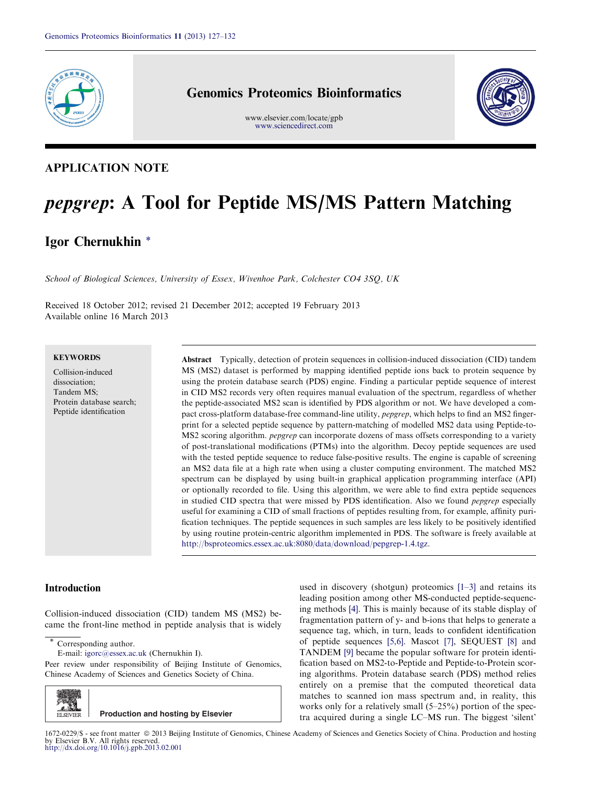

## Genomics Proteomics Bioinformatics

www.elsevier.com/locate/gpb [www.sciencedirect.com](http://www.sciencedirect.com)



### APPLICATION NOTE

# pepgrep: A Tool for Peptide MS/MS Pattern Matching

# Igor Chernukhin \*

School of Biological Sciences, University of Essex, Wivenhoe Park, Colchester CO4 3SQ, UK

Received 18 October 2012; revised 21 December 2012; accepted 19 February 2013 Available online 16 March 2013

#### **KEYWORDS**

Collision-induced dissociation; Tandem MS; Protein database search; Peptide identification

Abstract Typically, detection of protein sequences in collision-induced dissociation (CID) tandem MS (MS2) dataset is performed by mapping identified peptide ions back to protein sequence by using the protein database search (PDS) engine. Finding a particular peptide sequence of interest in CID MS2 records very often requires manual evaluation of the spectrum, regardless of whether the peptide-associated MS2 scan is identified by PDS algorithm or not. We have developed a compact cross-platform database-free command-line utility, pepgrep, which helps to find an MS2 fingerprint for a selected peptide sequence by pattern-matching of modelled MS2 data using Peptide-to-MS2 scoring algorithm. pepgrep can incorporate dozens of mass offsets corresponding to a variety of post-translational modifications (PTMs) into the algorithm. Decoy peptide sequences are used with the tested peptide sequence to reduce false-positive results. The engine is capable of screening an MS2 data file at a high rate when using a cluster computing environment. The matched MS2 spectrum can be displayed by using built-in graphical application programming interface (API) or optionally recorded to file. Using this algorithm, we were able to find extra peptide sequences in studied CID spectra that were missed by PDS identification. Also we found pepgrep especially useful for examining a CID of small fractions of peptides resulting from, for example, affinity purification techniques. The peptide sequences in such samples are less likely to be positively identified by using routine protein-centric algorithm implemented in PDS. The software is freely available at [http://bsproteomics.essex.ac.uk:8080/data/download/pepgrep-1.4.tgz.](http://bsproteomics.essex.ac.uk:8080/data/download/pepgrep-1.4.tgz)

#### Introduction

Collision-induced dissociation (CID) tandem MS (MS2) became the front-line method in peptide analysis that is widely

Corresponding author.

Peer review under responsibility of Beijing Institute of Genomics, Chinese Academy of Sciences and Genetics Society of China.

**ELSEVIER Production and hosting by Elsevier** used in discovery (shotgun) proteomics [\[1–3\]](#page-5-0) and retains its leading position among other MS-conducted peptide-sequencing methods [\[4\].](#page-5-0) This is mainly because of its stable display of fragmentation pattern of y- and b-ions that helps to generate a sequence tag, which, in turn, leads to confident identification of peptide sequences [\[5,6\]](#page-5-0). Mascot [\[7\],](#page-5-0) SEQUEST [\[8\]](#page-5-0) and TANDEM [\[9\]](#page-5-0) became the popular software for protein identification based on MS2-to-Peptide and Peptide-to-Protein scoring algorithms. Protein database search (PDS) method relies entirely on a premise that the computed theoretical data matches to scanned ion mass spectrum and, in reality, this works only for a relatively small (5–25%) portion of the spectra acquired during a single LC–MS run. The biggest 'silent'

1672-0229/\$ - see front matter @ 2013 Beijing Institute of Genomics, Chinese Academy of Sciences and Genetics Society of China. Production and hosting by Elsevier B.V. All rights reserved. <http://dx.doi.org/10.1016/j.gpb.2013.02.001>

E-mail: [igorc@essex.ac.uk](mailto:igorc@essex.ac.uk) (Chernukhin I).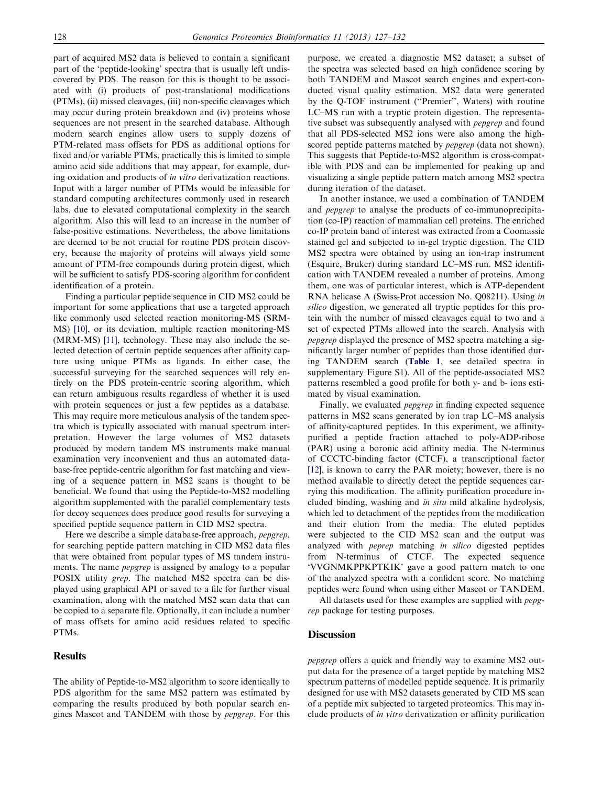part of acquired MS2 data is believed to contain a significant part of the 'peptide-looking' spectra that is usually left undiscovered by PDS. The reason for this is thought to be associated with (i) products of post-translational modifications (PTMs), (ii) missed cleavages, (iii) non-specific cleavages which may occur during protein breakdown and (iv) proteins whose sequences are not present in the searched database. Although modern search engines allow users to supply dozens of PTM-related mass offsets for PDS as additional options for fixed and/or variable PTMs, practically this is limited to simple amino acid side additions that may appear, for example, during oxidation and products of in vitro derivatization reactions. Input with a larger number of PTMs would be infeasible for standard computing architectures commonly used in research labs, due to elevated computational complexity in the search algorithm. Also this will lead to an increase in the number of false-positive estimations. Nevertheless, the above limitations are deemed to be not crucial for routine PDS protein discovery, because the majority of proteins will always yield some amount of PTM-free compounds during protein digest, which will be sufficient to satisfy PDS-scoring algorithm for confident identification of a protein.

Finding a particular peptide sequence in CID MS2 could be important for some applications that use a targeted approach like commonly used selected reaction monitoring-MS (SRM-MS) [\[10\]](#page-5-0), or its deviation, multiple reaction monitoring-MS (MRM-MS) [\[11\]](#page-5-0), technology. These may also include the selected detection of certain peptide sequences after affinity capture using unique PTMs as ligands. In either case, the successful surveying for the searched sequences will rely entirely on the PDS protein-centric scoring algorithm, which can return ambiguous results regardless of whether it is used with protein sequences or just a few peptides as a database. This may require more meticulous analysis of the tandem spectra which is typically associated with manual spectrum interpretation. However the large volumes of MS2 datasets produced by modern tandem MS instruments make manual examination very inconvenient and thus an automated database-free peptide-centric algorithm for fast matching and viewing of a sequence pattern in MS2 scans is thought to be beneficial. We found that using the Peptide-to-MS2 modelling algorithm supplemented with the parallel complementary tests for decoy sequences does produce good results for surveying a specified peptide sequence pattern in CID MS2 spectra.

Here we describe a simple database-free approach, pepgrep, for searching peptide pattern matching in CID MS2 data files that were obtained from popular types of MS tandem instruments. The name pepgrep is assigned by analogy to a popular POSIX utility grep. The matched MS2 spectra can be displayed using graphical API or saved to a file for further visual examination, along with the matched MS2 scan data that can be copied to a separate file. Optionally, it can include a number of mass offsets for amino acid residues related to specific PTMs.

#### Results

The ability of Peptide-to-MS2 algorithm to score identically to PDS algorithm for the same MS2 pattern was estimated by comparing the results produced by both popular search engines Mascot and TANDEM with those by pepgrep. For this

purpose, we created a diagnostic MS2 dataset; a subset of the spectra was selected based on high confidence scoring by both TANDEM and Mascot search engines and expert-conducted visual quality estimation. MS2 data were generated by the Q-TOF instrument (''Premier'', Waters) with routine LC–MS run with a tryptic protein digestion. The representative subset was subsequently analysed with pepgrep and found that all PDS-selected MS2 ions were also among the highscored peptide patterns matched by pepgrep (data not shown). This suggests that Peptide-to-MS2 algorithm is cross-compatible with PDS and can be implemented for peaking up and visualizing a single peptide pattern match among MS2 spectra during iteration of the dataset.

In another instance, we used a combination of TANDEM and pepgrep to analyse the products of co-immunoprecipitation (co-IP) reaction of mammalian cell proteins. The enriched co-IP protein band of interest was extracted from a Coomassie stained gel and subjected to in-gel tryptic digestion. The CID MS2 spectra were obtained by using an ion-trap instrument (Esquire, Bruker) during standard LC–MS run. MS2 identification with TANDEM revealed a number of proteins. Among them, one was of particular interest, which is ATP-dependent RNA helicase A (Swiss-Prot accession No. Q08211). Using in silico digestion, we generated all tryptic peptides for this protein with the number of missed cleavages equal to two and a set of expected PTMs allowed into the search. Analysis with pepgrep displayed the presence of MS2 spectra matching a significantly larger number of peptides than those identified during TANDEM search (Table 1, see detailed spectra in supplementary Figure S1). All of the peptide-associated MS2 patterns resembled a good profile for both y- and b- ions estimated by visual examination.

Finally, we evaluated pepgrep in finding expected sequence patterns in MS2 scans generated by ion trap LC–MS analysis of affinity-captured peptides. In this experiment, we affinitypurified a peptide fraction attached to poly-ADP-ribose (PAR) using a boronic acid affinity media. The N-terminus of CCCTC-binding factor (CTCF), a transcriptional factor [\[12\],](#page-5-0) is known to carry the PAR moiety; however, there is no method available to directly detect the peptide sequences carrying this modification. The affinity purification procedure included binding, washing and in situ mild alkaline hydrolysis, which led to detachment of the peptides from the modification and their elution from the media. The eluted peptides were subjected to the CID MS2 scan and the output was analyzed with peprep matching in silico digested peptides from N-terminus of CTCF. The expected sequence 'VVGNMKPPKPTKIK' gave a good pattern match to one of the analyzed spectra with a confident score. No matching peptides were found when using either Mascot or TANDEM.

All datasets used for these examples are supplied with *pepg*rep package for testing purposes.

#### **Discussion**

pepgrep offers a quick and friendly way to examine MS2 output data for the presence of a target peptide by matching MS2 spectrum patterns of modelled peptide sequence. It is primarily designed for use with MS2 datasets generated by CID MS scan of a peptide mix subjected to targeted proteomics. This may include products of in vitro derivatization or affinity purification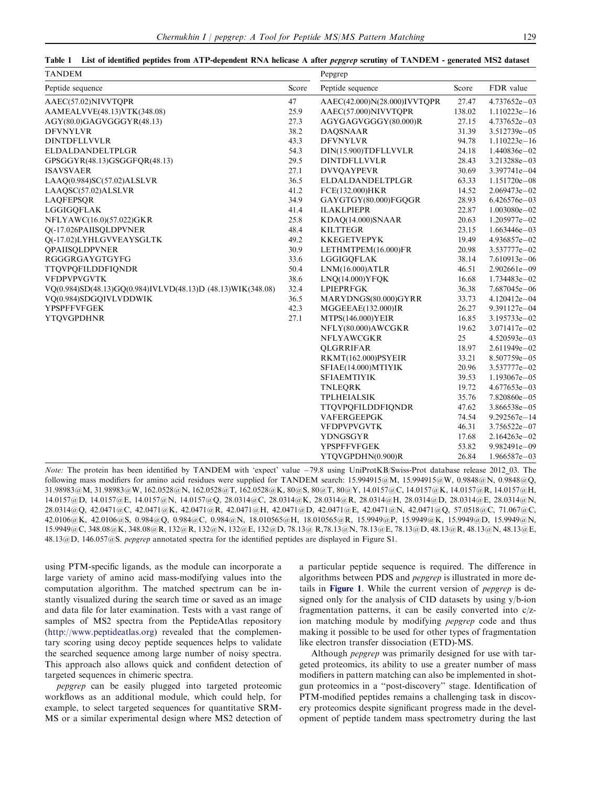#### Table 1 List of identified peptides from ATP-dependent RNA helicase A after pepgrep scrutiny of TANDEM - generated MS2 dataset

| <b>TANDEM</b>                                               |       | Pepgrep                      |        |                  |
|-------------------------------------------------------------|-------|------------------------------|--------|------------------|
| Peptide sequence                                            | Score | Peptide sequence             | Score  | FDR value        |
| AAEC(57.02)NIVVTOPR                                         | 47    | AAEC(42.000)N(28.000)IVVTQPR | 27.47  | 4.737652e-03     |
| AAMEALVVE(48.13)VTK(348.08)                                 | 25.9  | AAEC(57.000)NIVVTQPR         | 138.02 | $1.110223e - 16$ |
| AGY(80.0)GAGVGGGYR(48.13)                                   | 27.3  | AGYGAGVGGGY(80.000)R         | 27.15  | 4.737652e-03     |
| <b>DFVNYLVR</b>                                             | 38.2  | <b>DAQSNAAR</b>              | 31.39  | 3.512739e-05     |
| <b>DINTDFLLVVLR</b>                                         | 43.3  | <b>DFVNYLVR</b>              | 94.78  | $1.110223e - 16$ |
| ELDALDANDELTPLGR                                            | 54.3  | DIN(15.900)TDFLLVVLR         | 24.18  | $1.440836e - 02$ |
| GPSGGYR(48.13)GSGGFQR(48.13)                                | 29.5  | <b>DINTDFLLVVLR</b>          | 28.43  | 3.213288e-03     |
| <b>ISAVSVAER</b>                                            | 27.1  | <b>DVVQAYPEVR</b>            | 30.69  | 3.397741e-04     |
| LAAQ(0.984)SC(57.02)ALSLVR                                  | 36.5  | ELDALDANDELTPLGR             | 63.33  | 1.151720e-08     |
| LAAQSC(57.02)ALSLVR                                         | 41.2  | FCE(132.000)HKR              | 14.52  | $2.069473e - 02$ |
| <b>LAQFEPSQR</b>                                            | 34.9  | GAYGTGY(80.000)FGQGR         | 28.93  | $6.426576e - 03$ |
| LGGIGQFLAK                                                  | 41.4  | <b>ILAKLPIEPR</b>            | 22.87  | $1.003080e - 02$ |
| NFLYAWC(16.0)(57.022)GKR                                    | 25.8  | KDAQ(14.000)SNAAR            | 20.63  | 1.205977e-02     |
| Q(-17.026PAIISQLDPVNER                                      | 48.4  | <b>KILTTEGR</b>              | 23.15  | $1.663446e - 03$ |
| Q(-17.02)LYHLGVVEAYSGLTK                                    | 49.2  | <b>KKEGETVEPYK</b>           | 19.49  | 4.936857e-02     |
| QPAIISQLDPVNER                                              | 30.9  | LETHMTPEM(16.000)FR          | 20.98  | 3.537777e-02     |
| RGGGRGAYGTGYFG                                              | 33.6  | LGGIGQFLAK                   | 38.14  | 7.610913e-06     |
| <b>TTQVPQFILDDFIQNDR</b>                                    | 50.4  | LNM(16.000)ATLR              | 46.51  | $2.902661e - 09$ |
| <b>VFDPVPVGVTK</b>                                          | 38.6  | LNO(14.000)YFQK              | 16.68  | $1.734483e - 02$ |
| VQ(0.984)SD(48.13)GQ(0.984)IVLVD(48.13)D (48.13)WIK(348.08) | 32.4  | <b>LPIEPRFGK</b>             | 36.38  | 7.687045e-06     |
| VQ(0.984)SDGQIVLVDDWIK                                      | 36.5  | MARYDNGS(80.000)GYRR         | 33.73  | $4.120412e - 04$ |
| <b>YPSPFFVFGEK</b>                                          | 42.3  | MGGEEAE(132.000)IR           | 26.27  | 9.391127e-04     |
| <b>YTQVGPDHNR</b>                                           | 27.1  | MTPS(146.000)YEIR            | 16.85  | 3.195733e-02     |
|                                                             |       | NFLY(80.000)AWCGKR           | 19.62  | $3.071417e - 02$ |
|                                                             |       | <b>NFLYAWCGKR</b>            | 25     | 4.520593e-03     |
|                                                             |       | <b>QLGRRIFAR</b>             | 18.97  | 2.611949e-02     |
|                                                             |       | RKMT(162.000)PSYEIR          | 33.21  | 8.507759e-05     |
|                                                             |       | SFIAE(14.000)MTIYIK          | 20.96  | 3.537777e-02     |
|                                                             |       | <b>SFIAEMTIYIK</b>           | 39.53  | 1.193067e-05     |
|                                                             |       | <b>TNLEQRK</b>               | 19.72  | $4.677653e - 03$ |
|                                                             |       | <b>TPLHEIALSIK</b>           | 35.76  | $7.820860e - 05$ |
|                                                             |       | TTQVPQFILDDFIQNDR            | 47.62  | 3.866538e-05     |
|                                                             |       | VAFERGEEPGK                  | 74.54  | 9.292567e-14     |
|                                                             |       | <b>VFDPVPVGVTK</b>           | 46.31  | 3.756522e-07     |
|                                                             |       | YDNGSGYR                     | 17.68  | $2.164263e - 02$ |
|                                                             |       | <b>YPSPFFVFGEK</b>           | 53.82  | 9.982491e-09     |
|                                                             |       | YTQVGPDHN(0.900)R            | 26.84  | 1.966587e-03     |

Note: The protein has been identified by TANDEM with 'expect' value -79.8 using UniProtKB/Swiss-Prot database release 2012\_03. The following mass modifiers for amino acid residues were supplied for TANDEM search: 15.994915@M, 15.994915@W, 0.9848@N, 0.9848@Q, 31.98983@M, 31.98983@W, 162.0528@N, 162.0528@T, 162.0528@K, 80@S, 80@T, 80@Y, 14.0157@C, 14.0157@K, 14.0157@R, 14.0157@H, 14.0157@D, 14.0157@E, 14.0157@N, 14.0157@Q, 28.0314@C, 28.0314@K, 28.0314@R, 28.0314@H, 28.0314@D, 28.0314@E, 28.0314@N, 28.0314@Q, 42.0471@C, 42.0471@K, 42.0471@R, 42.0471@H, 42.0471@D, 42.0471@E, 42.0471@N, 42.0471@Q, 57.0518@C, 71.067@C, 42.0106@K, 42.0106@S, 0.984@Q, 0.984@C, 0.984@N, 18.010565@H, 18.010565@R, 15.9949@P, 15.9949@K, 15.9949@D, 15.9949@N, 15.9949@C, 348.08@K, 348.08@R, 132@R, 132@N, 132@E, 132@D, 78.13@ R,78.13@N, 78.13@E, 78.13@D, 48.13@R, 48.13@N, 48.13@E, 48.13@D, 146.057@S. pepgrep annotated spectra for the identified peptides are displayed in Figure S1.

using PTM-specific ligands, as the module can incorporate a large variety of amino acid mass-modifying values into the computation algorithm. The matched spectrum can be instantly visualized during the search time or saved as an image and data file for later examination. Tests with a vast range of samples of MS2 spectra from the PeptideAtlas repository [\(http://www.peptideatlas.org\)](http://www.peptideatlas.org) revealed that the complementary scoring using decoy peptide sequences helps to validate the searched sequence among large number of noisy spectra. This approach also allows quick and confident detection of targeted sequences in chimeric spectra.

pepgrep can be easily plugged into targeted proteomic workflows as an additional module, which could help, for example, to select targeted sequences for quantitative SRM-MS or a similar experimental design where MS2 detection of a particular peptide sequence is required. The difference in algorithms between PDS and pepgrep is illustrated in more details in [Figure 1](#page-3-0). While the current version of pepgrep is designed only for the analysis of CID datasets by using y/b-ion fragmentation patterns, it can be easily converted into c/zion matching module by modifying pepgrep code and thus making it possible to be used for other types of fragmentation like electron transfer dissociation (ETD)-MS.

Although pepgrep was primarily designed for use with targeted proteomics, its ability to use a greater number of mass modifiers in pattern matching can also be implemented in shotgun proteomics in a ''post-discovery'' stage. Identification of PTM-modified peptides remains a challenging task in discovery proteomics despite significant progress made in the development of peptide tandem mass spectrometry during the last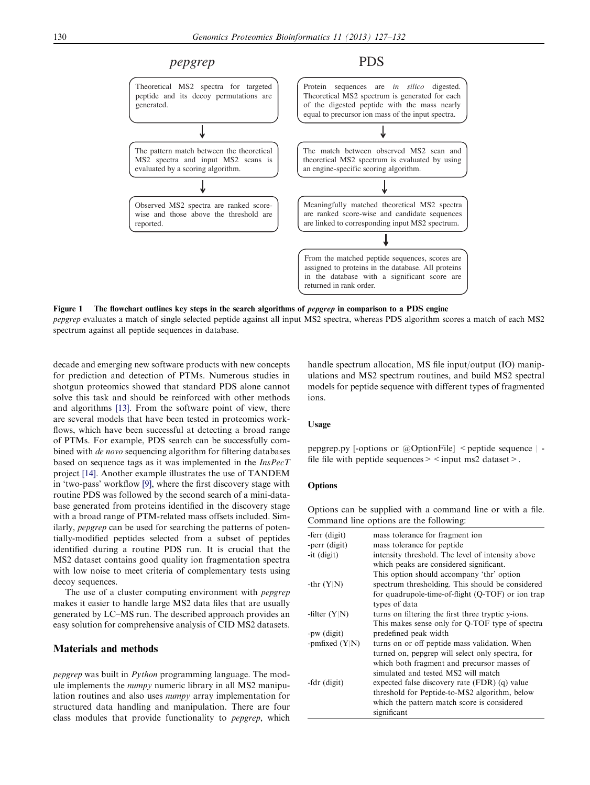<span id="page-3-0"></span>

Figure 1 The flowchart outlines key steps in the search algorithms of *pepgrep* in comparison to a PDS engine

pepgrep evaluates a match of single selected peptide against all input MS2 spectra, whereas PDS algorithm scores a match of each MS2 spectrum against all peptide sequences in database.

decade and emerging new software products with new concepts for prediction and detection of PTMs. Numerous studies in shotgun proteomics showed that standard PDS alone cannot solve this task and should be reinforced with other methods and algorithms [\[13\].](#page-5-0) From the software point of view, there are several models that have been tested in proteomics workflows, which have been successful at detecting a broad range of PTMs. For example, PDS search can be successfully combined with de novo sequencing algorithm for filtering databases based on sequence tags as it was implemented in the InsPecT project [\[14\].](#page-5-0) Another example illustrates the use of TANDEM in 'two-pass' workflow [\[9\]](#page-5-0), where the first discovery stage with routine PDS was followed by the second search of a mini-database generated from proteins identified in the discovery stage with a broad range of PTM-related mass offsets included. Similarly, pepgrep can be used for searching the patterns of potentially-modified peptides selected from a subset of peptides identified during a routine PDS run. It is crucial that the MS2 dataset contains good quality ion fragmentation spectra with low noise to meet criteria of complementary tests using decoy sequences.

The use of a cluster computing environment with *pepgrep* makes it easier to handle large MS2 data files that are usually generated by LC–MS run. The described approach provides an easy solution for comprehensive analysis of CID MS2 datasets.

#### Materials and methods

pepgrep was built in Python programming language. The module implements the numpy numeric library in all MS2 manipulation routines and also uses numpy array implementation for structured data handling and manipulation. There are four class modules that provide functionality to pepgrep, which handle spectrum allocation, MS file input/output (IO) manipulations and MS2 spectrum routines, and build MS2 spectral models for peptide sequence with different types of fragmented ions.

#### Usage

pepgrep.py [-options or  $\omega$ OptionFile] <peptide sequence | file file with peptide sequences  $>$  < input ms2 dataset  $>$ .

#### **Options**

Options can be supplied with a command line or with a file. Command line options are the following:

| -ferr (digit)    | mass tolerance for fragment ion                    |
|------------------|----------------------------------------------------|
| -perr (digit)    | mass tolerance for peptide                         |
| $-it$ (digit)    | intensity threshold. The level of intensity above  |
|                  | which peaks are considered significant.            |
|                  | This option should accompany 'thr' option          |
| -thr $(Y N)$     | spectrum thresholding. This should be considered   |
|                  | for quadrupole-time-of-flight (O-TOF) or ion trap  |
|                  | types of data                                      |
| -filter $(Y N)$  | turns on filtering the first three tryptic y-ions. |
|                  | This makes sense only for Q-TOF type of spectra    |
| -pw (digit)      | predefined peak width                              |
| -pmfixed $(Y N)$ | turns on or off peptide mass validation. When      |
|                  | turned on, pepgrep will select only spectra, for   |
|                  | which both fragment and precursor masses of        |
|                  | simulated and tested MS2 will match                |
| -fdr (digit)     | expected false discovery rate (FDR) (q) value      |
|                  | threshold for Peptide-to-MS2 algorithm, below      |
|                  | which the pattern match score is considered        |
|                  | significant                                        |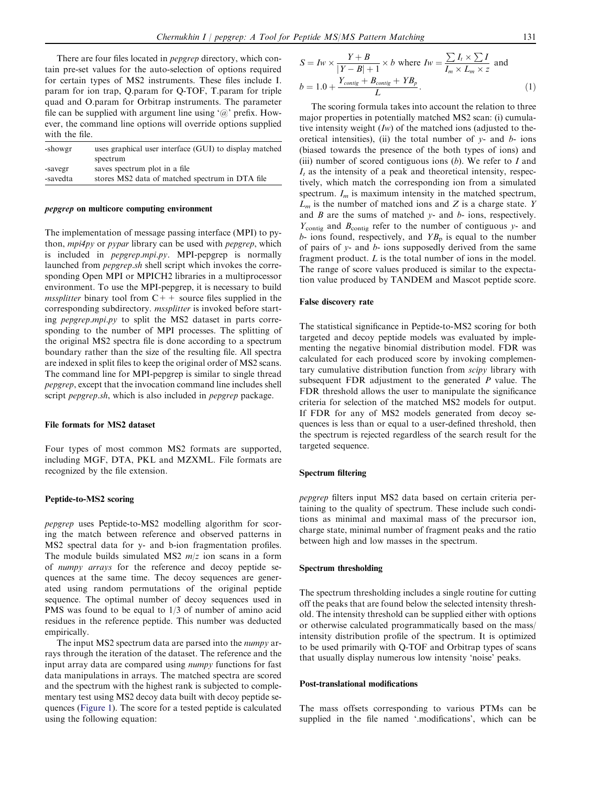There are four files located in *pepgrep* directory, which contain pre-set values for the auto-selection of options required for certain types of MS2 instruments. These files include I. param for ion trap, Q.param for Q-TOF, T.param for triple quad and O.param for Orbitrap instruments. The parameter file can be supplied with argument line using  $\hat{a}$  prefix. However, the command line options will override options supplied with the file.

| -showgr  | uses graphical user interface (GUI) to display matched |
|----------|--------------------------------------------------------|
|          | spectrum                                               |
| -savegr  | saves spectrum plot in a file                          |
| -savedta | stores MS2 data of matched spectrum in DTA file        |

#### pepgrep on multicore computing environment

The implementation of message passing interface (MPI) to python,  $mpi4py$  or *pypar* library can be used with *pepgrep*, which is included in pepgrep.mpi.py. MPI-pepgrep is normally launched from pepgrep.sh shell script which invokes the corresponding Open MPI or MPICH2 libraries in a multiprocessor environment. To use the MPI-pepgrep, it is necessary to build *mssplitter* binary tool from  $C++$  source files supplied in the corresponding subdirectory. mssplitter is invoked before starting pepgrep.mpi.py to split the MS2 dataset in parts corresponding to the number of MPI processes. The splitting of the original MS2 spectra file is done according to a spectrum boundary rather than the size of the resulting file. All spectra are indexed in split files to keep the original order of MS2 scans. The command line for MPI-pepgrep is similar to single thread pepgrep, except that the invocation command line includes shell script *pepgrep.sh*, which is also included in *pepgrep* package.

#### File formats for MS2 dataset

Four types of most common MS2 formats are supported, including MGF, DTA, PKL and MZXML. File formats are recognized by the file extension.

#### Peptide-to-MS2 scoring

pepgrep uses Peptide-to-MS2 modelling algorithm for scoring the match between reference and observed patterns in MS2 spectral data for y- and b-ion fragmentation profiles. The module builds simulated MS2  $m/z$  ion scans in a form of numpy arrays for the reference and decoy peptide sequences at the same time. The decoy sequences are generated using random permutations of the original peptide sequence. The optimal number of decoy sequences used in PMS was found to be equal to  $1/3$  of number of amino acid residues in the reference peptide. This number was deducted empirically.

The input MS2 spectrum data are parsed into the *numpy* arrays through the iteration of the dataset. The reference and the input array data are compared using numpy functions for fast data manipulations in arrays. The matched spectra are scored and the spectrum with the highest rank is subjected to complementary test using MS2 decoy data built with decoy peptide sequences ([Figure 1](#page-3-0)). The score for a tested peptide is calculated using the following equation:

$$
S = Iw \times \frac{Y + B}{|Y - B| + 1} \times b \text{ where } Iw = \frac{\sum I_t \times \sum I}{I_m \times L_m \times z} \text{ and}
$$
  

$$
b = 1.0 + \frac{Y_{conlig} + B_{conlig} + YB_p}{L}.
$$
 (1)

The scoring formula takes into account the relation to three major properties in potentially matched MS2 scan: (i) cumulative intensity weight  $(Iw)$  of the matched ions (adjusted to theoretical intensities), (ii) the total number of  $y$ - and  $b$ - ions (biased towards the presence of the both types of ions) and (iii) number of scored contiguous ions  $(b)$ . We refer to I and  $I_t$  as the intensity of a peak and theoretical intensity, respectively, which match the corresponding ion from a simulated spectrum.  $I_m$  is maximum intensity in the matched spectrum,  $L_m$  is the number of matched ions and Z is a charge state. Y and  $B$  are the sums of matched  $y$ - and  $b$ - ions, respectively.  $Y_{\text{contig}}$  and  $B_{\text{contig}}$  refer to the number of contiguous y- and b- ions found, respectively, and  $YB_p$  is equal to the number of pairs of  $y$ - and  $b$ - ions supposedly derived from the same fragment product. L is the total number of ions in the model. The range of score values produced is similar to the expectation value produced by TANDEM and Mascot peptide score.

#### False discovery rate

The statistical significance in Peptide-to-MS2 scoring for both targeted and decoy peptide models was evaluated by implementing the negative binomial distribution model. FDR was calculated for each produced score by invoking complementary cumulative distribution function from scipy library with subsequent FDR adjustment to the generated  $P$  value. The FDR threshold allows the user to manipulate the significance criteria for selection of the matched MS2 models for output. If FDR for any of MS2 models generated from decoy sequences is less than or equal to a user-defined threshold, then the spectrum is rejected regardless of the search result for the targeted sequence.

#### Spectrum filtering

pepgrep filters input MS2 data based on certain criteria pertaining to the quality of spectrum. These include such conditions as minimal and maximal mass of the precursor ion, charge state, minimal number of fragment peaks and the ratio between high and low masses in the spectrum.

#### Spectrum thresholding

The spectrum thresholding includes a single routine for cutting off the peaks that are found below the selected intensity threshold. The intensity threshold can be supplied either with options or otherwise calculated programmatically based on the mass/ intensity distribution profile of the spectrum. It is optimized to be used primarily with Q-TOF and Orbitrap types of scans that usually display numerous low intensity 'noise' peaks.

#### Post-translational modifications

The mass offsets corresponding to various PTMs can be supplied in the file named '.modifications', which can be